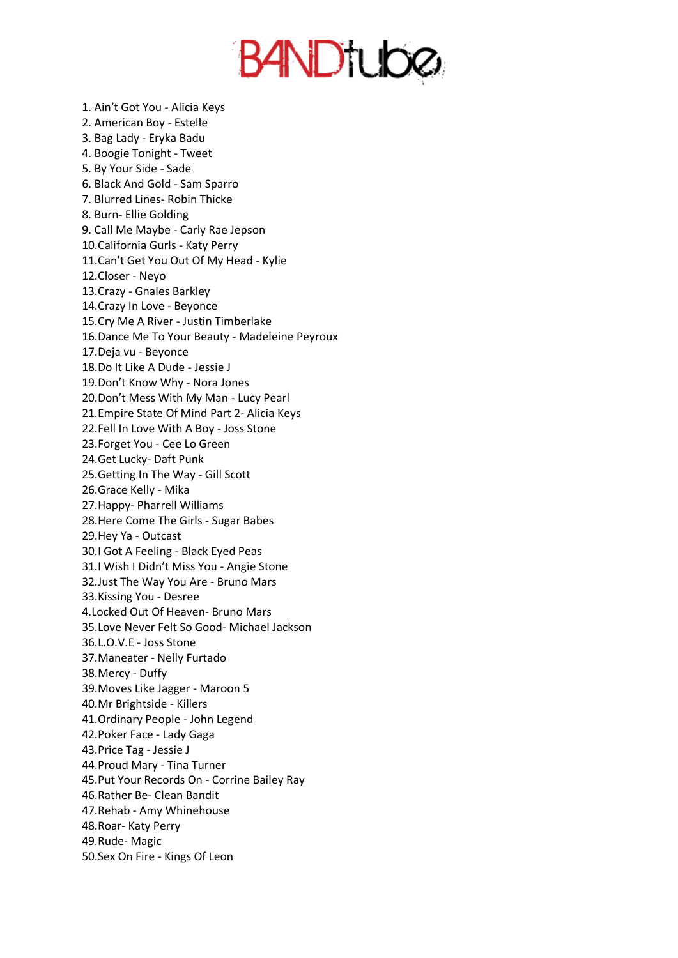**BANDTUDO** 

2. American Boy - Estelle 3. Bag Lady - Eryka Badu 4. Boogie Tonight - Tweet 5. By Your Side - Sade 6. Black And Gold - Sam Sparro 7. Blurred Lines- Robin Thicke 8. Burn- Ellie Golding 9. Call Me Maybe - Carly Rae Jepson 10.California Gurls - Katy Perry 11.Can't Get You Out Of My Head - Kylie 12.Closer - Neyo 13.Crazy - Gnales Barkley 14.Crazy In Love - Beyonce 15.Cry Me A River - Justin Timberlake 16.Dance Me To Your Beauty - Madeleine Peyroux 17.Deja vu - Beyonce 18.Do It Like A Dude - Jessie J 19.Don't Know Why - Nora Jones 20.Don't Mess With My Man - Lucy Pearl 21.Empire State Of Mind Part 2- Alicia Keys 22.Fell In Love With A Boy - Joss Stone 23.Forget You - Cee Lo Green 24.Get Lucky- Daft Punk 25.Getting In The Way - Gill Scott 26.Grace Kelly - Mika 27.Happy- Pharrell Williams 28.Here Come The Girls - Sugar Babes 29.Hey Ya - Outcast 30.I Got A Feeling - Black Eyed Peas 31.I Wish I Didn't Miss You - Angie Stone 32.Just The Way You Are - Bruno Mars 33.Kissing You - Desree 4.Locked Out Of Heaven- Bruno Mars 35.Love Never Felt So Good- Michael Jackson 36.L.O.V.E - Joss Stone 37.Maneater - Nelly Furtado 38.Mercy - Duffy 39.Moves Like Jagger - Maroon 5 40.Mr Brightside - Killers 41.Ordinary People - John Legend 42.Poker Face - Lady Gaga 43.Price Tag - Jessie J 44.Proud Mary - Tina Turner 45.Put Your Records On - Corrine Bailey Ray 46.Rather Be- Clean Bandit 47.Rehab - Amy Whinehouse 48.Roar- Katy Perry 49.Rude- Magic 50.Sex On Fire - Kings Of Leon

1. Ain't Got You - Alicia Keys